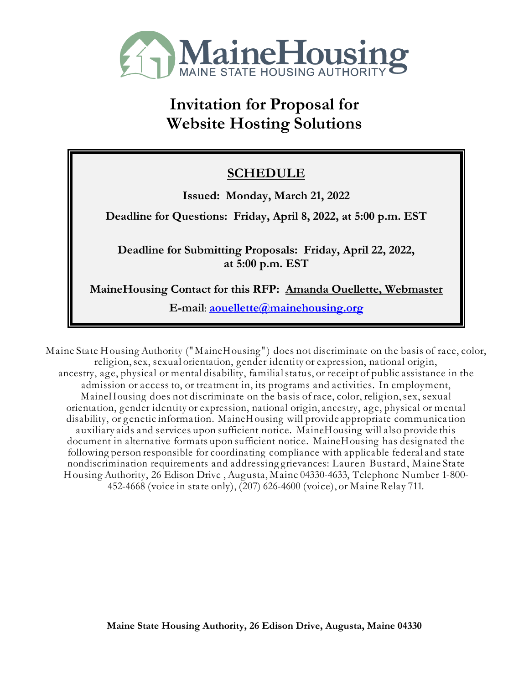

# **Invitation for Proposal for Website Hosting Solutions**

# **SCHEDULE**

**Issued: Monday, March 21, 2022**

**Deadline for Questions: Friday, April 8, 2022, at 5:00 p.m. EST** 

**Deadline for Submitting Proposals: Friday, April 22, 2022, at 5:00 p.m. EST**

**MaineHousing Contact for this RFP: Amanda Ouellette, Webmaster**

**E-mail**: **[aouellette@mainehousing.org](mailto:aouellette@mainehousing.org)**

Maine State Housing Authority (" MaineHousing" ) does not discriminate on the basis of race, color, religion,sex, sexual orientation, gender identity or expression, national origin, ancestry, age, physical or mental disability, familialstatus, or receipt of public assistance in the admission or access to, or treatment in, its programs and activities. In employment, MaineHousing does not discriminate on the basis of race, color, religion,sex, sexual orientation, gender identity or expression, national origin, ancestry, age, physical or mental disability, or genetic information. MaineHousing will provide appropriate communication auxiliary aids and services upon sufficient notice. MaineHousing will also provide this document in alternative formats upon sufficient notice. MaineHousing has designated the following person responsible for coordinating compliance with applicable federal and state nondiscrimination requirements and addressing grievances: Lauren Bustard, Maine State Housing Authority, 26 Edison Drive , Augusta, Maine 04330-4633, Telephone Number 1-800- 452-4668 (voice in state only), (207) 626-4600 (voice), or Maine Relay 711.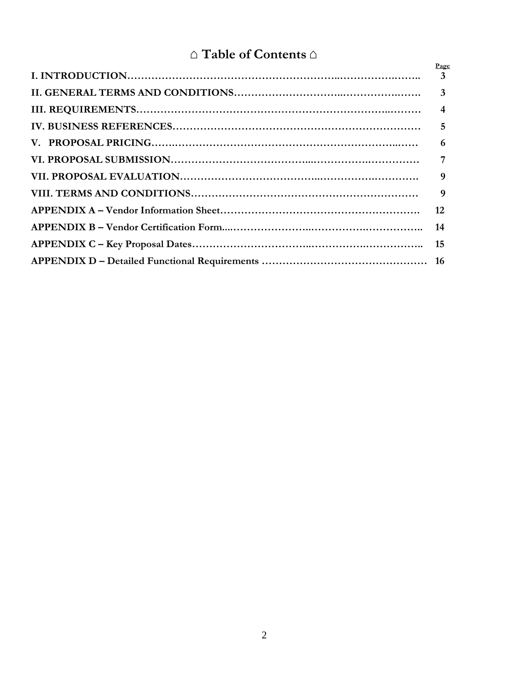# $\triangle$  **Table of Contents**  $\triangle$

| Page |
|------|
|      |
|      |
|      |
| 6    |
|      |
| 9    |
|      |
|      |
|      |
|      |
|      |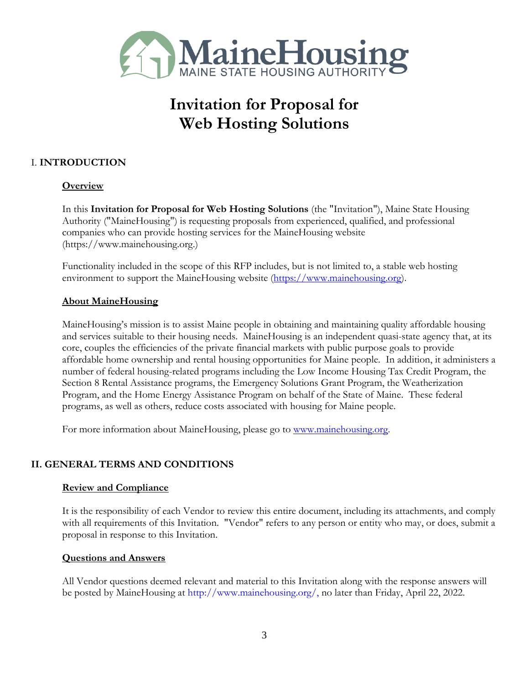

# **Invitation for Proposal for Web Hosting Solutions**

### I. **INTRODUCTION**

#### **Overview**

In this **Invitation for Proposal for Web Hosting Solutions** (the "Invitation"), Maine State Housing Authority ("MaineHousing") is requesting proposals from experienced, qualified, and professional companies who can provide hosting services for the MaineHousing website (https://www.mainehousing.org.)

Functionality included in the scope of this RFP includes, but is not limited to, a stable web hosting environment to support the MaineHousing website [\(https://www.mainehousing.org\)](https://www.mainehousing.org/).

#### **About MaineHousing**

MaineHousing's mission is to assist Maine people in obtaining and maintaining quality affordable housing and services suitable to their housing needs. MaineHousing is an independent quasi-state agency that, at its core, couples the efficiencies of the private financial markets with public purpose goals to provide affordable home ownership and rental housing opportunities for Maine people. In addition, it administers a number of federal housing-related programs including the Low Income Housing Tax Credit Program, the Section 8 Rental Assistance programs, the Emergency Solutions Grant Program, the Weatherization Program, and the Home Energy Assistance Program on behalf of the State of Maine. These federal programs, as well as others, reduce costs associated with housing for Maine people.

For more information about MaineHousing, please go to [www.mainehousing.org.](http://www.mainehousing.org/)

#### **II. GENERAL TERMS AND CONDITIONS**

#### **Review and Compliance**

It is the responsibility of each Vendor to review this entire document, including its attachments, and comply with all requirements of this Invitation. "Vendor" refers to any person or entity who may, or does, submit a proposal in response to this Invitation.

#### **Questions and Answers**

All Vendor questions deemed relevant and material to this Invitation along with the response answers will be posted by MaineHousing at http://www.mainehousing.org/, no later than Friday, April 22, 2022.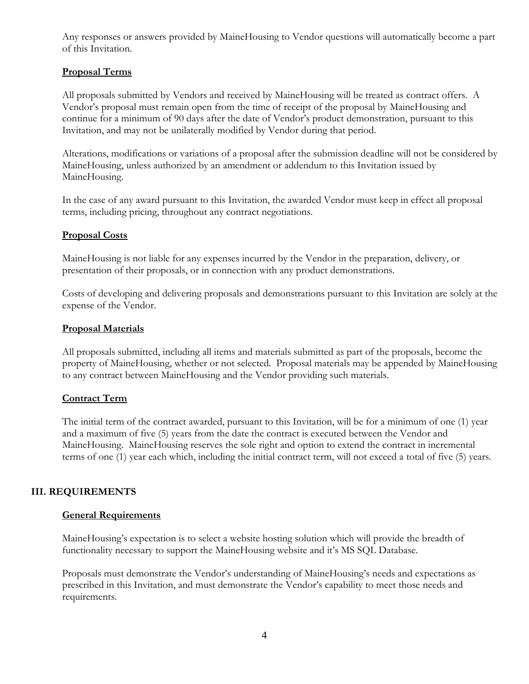Any responses or answers provided by MaineHousing to Vendor questions will automatically become a part of this Invitation.

#### **Proposal Terms**

All proposals submitted by Vendors and received by MaineHousing will be treated as contract offers. A Vendor's proposal must remain open from the time of receipt of the proposal by MaineHousing and continue for a minimum of 90 days after the date of Vendor's product demonstration, pursuant to this Invitation, and may not be unilaterally modified by Vendor during that period.

Alterations, modifications or variations of a proposal after the submission deadline will not be considered by MaineHousing, unless authorized by an amendment or addendum to this Invitation issued by MaineHousing.

In the case of any award pursuant to this Invitation, the awarded Vendor must keep in effect all proposal terms, including pricing, throughout any contract negotiations.

#### **Proposal Costs**

MaineHousing is not liable for any expenses incurred by the Vendor in the preparation, delivery, or presentation of their proposals, or in connection with any product demonstrations.

Costs of developing and delivering proposals and demonstrations pursuant to this Invitation are solely at the expense of the Vendor.

#### **Proposal Materials**

All proposals submitted, including all items and materials submitted as part of the proposals, become the property of MaineHousing, whether or not selected. Proposal materials may be appended by MaineHousing to any contract between MaineHousing and the Vendor providing such materials.

#### **Contract Term**

The initial term of the contract awarded, pursuant to this Invitation, will be for a minimum of one (1) year and a maximum of five (5) years from the date the contract is executed between the Vendor and MaineHousing. MaineHousing reserves the sole right and option to extend the contract in incremental terms of one (1) year each which, including the initial contract term, will not exceed a total of five (5) years.

#### **III. REQUIREMENTS**

#### **General Requirements**

MaineHousing's expectation is to select a website hosting solution which will provide the breadth of functionality necessary to support the MaineHousing website and it's MS SQL Database.

Proposals must demonstrate the Vendor's understanding of MaineHousing's needs and expectations as prescribed in this Invitation, and must demonstrate the Vendor's capability to meet those needs and requirements.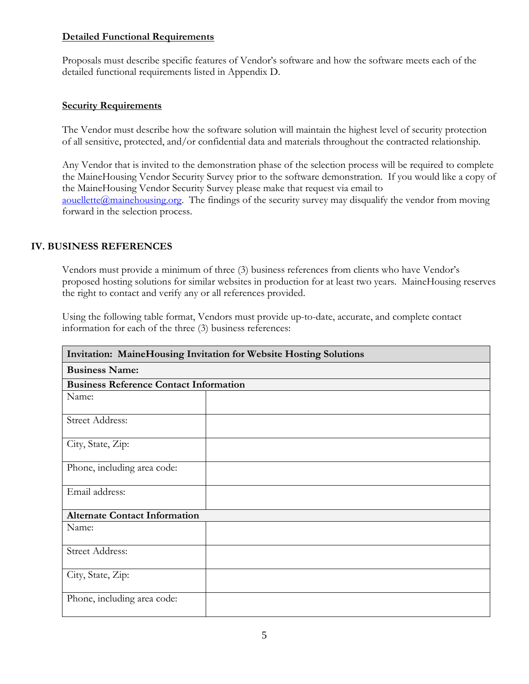#### **Detailed Functional Requirements**

Proposals must describe specific features of Vendor's software and how the software meets each of the detailed functional requirements listed in Appendix D.

#### **Security Requirements**

The Vendor must describe how the software solution will maintain the highest level of security protection of all sensitive, protected, and/or confidential data and materials throughout the contracted relationship.

Any Vendor that is invited to the demonstration phase of the selection process will be required to complete the MaineHousing Vendor Security Survey prior to the software demonstration. If you would like a copy of the MaineHousing Vendor Security Survey please make that request via email to [aouellette@mainehousing.org.](mailto:aouellette@mainehousing.org) The findings of the security survey may disqualify the vendor from moving forward in the selection process.

#### **IV. BUSINESS REFERENCES**

Vendors must provide a minimum of three (3) business references from clients who have Vendor's proposed hosting solutions for similar websites in production for at least two years. MaineHousing reserves the right to contact and verify any or all references provided.

Using the following table format, Vendors must provide up-to-date, accurate, and complete contact information for each of the three (3) business references:

| Invitation: MaineHousing Invitation for Website Hosting Solutions |  |
|-------------------------------------------------------------------|--|
| <b>Business Name:</b>                                             |  |
| <b>Business Reference Contact Information</b>                     |  |
| Name:                                                             |  |
| Street Address:                                                   |  |
| City, State, Zip:                                                 |  |
| Phone, including area code:                                       |  |
| Email address:                                                    |  |
| <b>Alternate Contact Information</b>                              |  |
| Name:                                                             |  |
| <b>Street Address:</b>                                            |  |
| City, State, Zip:                                                 |  |
| Phone, including area code:                                       |  |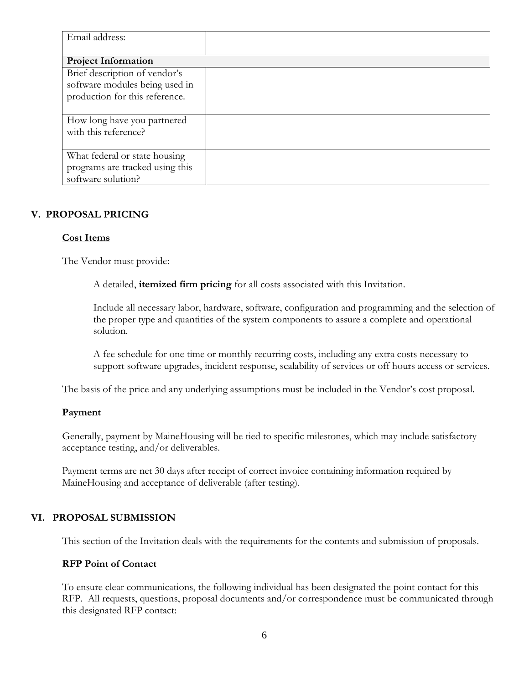| Email address:                  |  |
|---------------------------------|--|
|                                 |  |
| <b>Project Information</b>      |  |
| Brief description of vendor's   |  |
| software modules being used in  |  |
| production for this reference.  |  |
|                                 |  |
| How long have you partnered     |  |
| with this reference?            |  |
|                                 |  |
| What federal or state housing   |  |
| programs are tracked using this |  |
| software solution?              |  |

#### **V. PROPOSAL PRICING**

#### **Cost Items**

The Vendor must provide:

A detailed, **itemized firm pricing** for all costs associated with this Invitation.

Include all necessary labor, hardware, software, configuration and programming and the selection of the proper type and quantities of the system components to assure a complete and operational solution.

A fee schedule for one time or monthly recurring costs, including any extra costs necessary to support software upgrades, incident response, scalability of services or off hours access or services.

The basis of the price and any underlying assumptions must be included in the Vendor's cost proposal.

#### **Payment**

Generally, payment by MaineHousing will be tied to specific milestones, which may include satisfactory acceptance testing, and/or deliverables.

Payment terms are net 30 days after receipt of correct invoice containing information required by MaineHousing and acceptance of deliverable (after testing).

#### **VI. PROPOSAL SUBMISSION**

This section of the Invitation deals with the requirements for the contents and submission of proposals.

#### **RFP Point of Contact**

To ensure clear communications, the following individual has been designated the point contact for this RFP. All requests, questions, proposal documents and/or correspondence must be communicated through this designated RFP contact: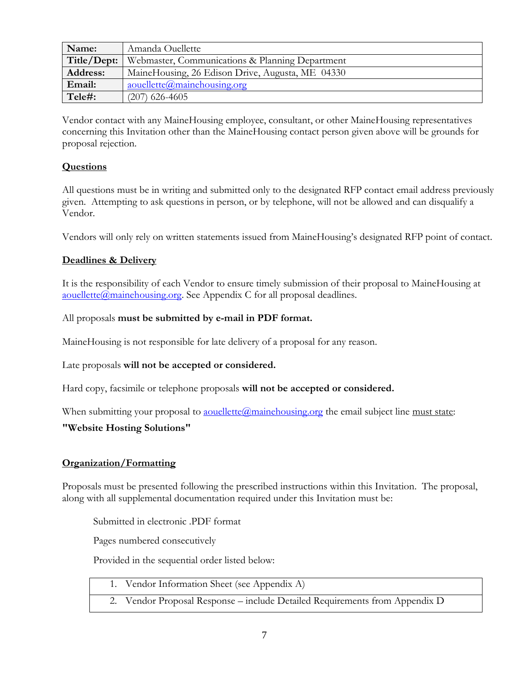| Name:           | Amanda Ouellette                                 |
|-----------------|--------------------------------------------------|
| Title/Dept:     | Webmaster, Communications & Planning Department  |
| <b>Address:</b> | MaineHousing, 26 Edison Drive, Augusta, ME 04330 |
| Email:          | aouellette@mainehousing.org                      |
| Tele#:          | $(207)$ 626-4605                                 |

Vendor contact with any MaineHousing employee, consultant, or other MaineHousing representatives concerning this Invitation other than the MaineHousing contact person given above will be grounds for proposal rejection.

#### **Questions**

All questions must be in writing and submitted only to the designated RFP contact email address previously given. Attempting to ask questions in person, or by telephone, will not be allowed and can disqualify a Vendor.

Vendors will only rely on written statements issued from MaineHousing's designated RFP point of contact.

#### **Deadlines & Delivery**

It is the responsibility of each Vendor to ensure timely submission of their proposal to MaineHousing at [aouellette@mainehousing.org.](mailto:aouellette@mainehousing.org) See Appendix C for all proposal deadlines.

#### All proposals **must be submitted by e-mail in PDF format.**

MaineHousing is not responsible for late delivery of a proposal for any reason.

Late proposals **will not be accepted or considered.**

Hard copy, facsimile or telephone proposals **will not be accepted or considered.**

When submitting your proposal to <u>aouellette@mainehousing.org</u> the email subject line must state:

#### **"Website Hosting Solutions"**

#### **Organization/Formatting**

Proposals must be presented following the prescribed instructions within this Invitation. The proposal, along with all supplemental documentation required under this Invitation must be:

Submitted in electronic .PDF format

Pages numbered consecutively

Provided in the sequential order listed below:

- 1. Vendor Information Sheet (see Appendix A)
	- 2. Vendor Proposal Response include Detailed Requirements from Appendix D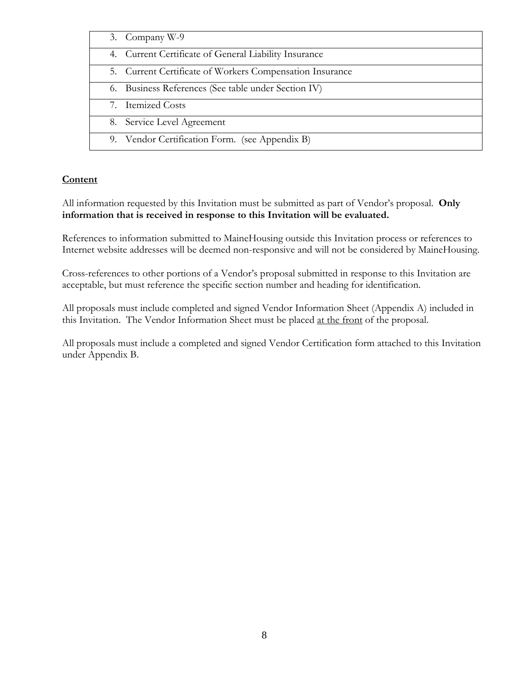| 3. Company W-9                                           |
|----------------------------------------------------------|
| 4. Current Certificate of General Liability Insurance    |
| 5. Current Certificate of Workers Compensation Insurance |
| 6. Business References (See table under Section IV)      |
| 7. Itemized Costs                                        |
| 8. Service Level Agreement                               |
| 9. Vendor Certification Form. (see Appendix B)           |

#### **Content**

All information requested by this Invitation must be submitted as part of Vendor's proposal. **Only information that is received in response to this Invitation will be evaluated.** 

References to information submitted to MaineHousing outside this Invitation process or references to Internet website addresses will be deemed non-responsive and will not be considered by MaineHousing.

Cross-references to other portions of a Vendor's proposal submitted in response to this Invitation are acceptable, but must reference the specific section number and heading for identification.

All proposals must include completed and signed Vendor Information Sheet (Appendix A) included in this Invitation. The Vendor Information Sheet must be placed at the front of the proposal.

All proposals must include a completed and signed Vendor Certification form attached to this Invitation under Appendix B.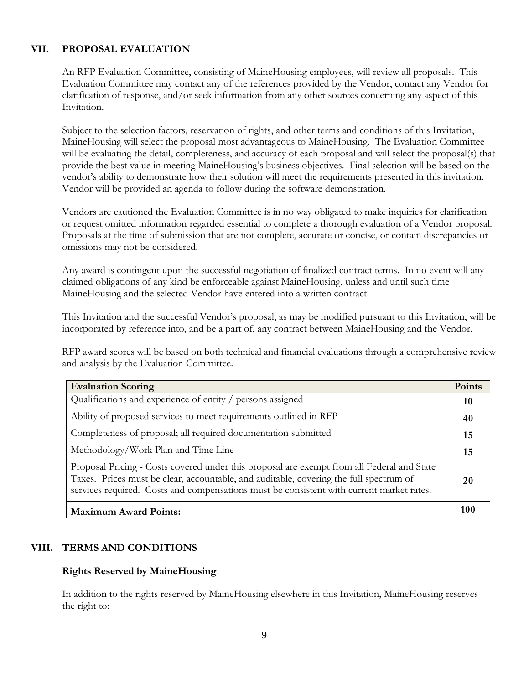#### **VII. PROPOSAL EVALUATION**

An RFP Evaluation Committee, consisting of MaineHousing employees, will review all proposals. This Evaluation Committee may contact any of the references provided by the Vendor, contact any Vendor for clarification of response, and/or seek information from any other sources concerning any aspect of this Invitation.

Subject to the selection factors, reservation of rights, and other terms and conditions of this Invitation, MaineHousing will select the proposal most advantageous to MaineHousing. The Evaluation Committee will be evaluating the detail, completeness, and accuracy of each proposal and will select the proposal(s) that provide the best value in meeting MaineHousing's business objectives. Final selection will be based on the vendor's ability to demonstrate how their solution will meet the requirements presented in this invitation. Vendor will be provided an agenda to follow during the software demonstration.

Vendors are cautioned the Evaluation Committee is in no way obligated to make inquiries for clarification or request omitted information regarded essential to complete a thorough evaluation of a Vendor proposal. Proposals at the time of submission that are not complete, accurate or concise, or contain discrepancies or omissions may not be considered.

Any award is contingent upon the successful negotiation of finalized contract terms. In no event will any claimed obligations of any kind be enforceable against MaineHousing, unless and until such time MaineHousing and the selected Vendor have entered into a written contract.

This Invitation and the successful Vendor's proposal, as may be modified pursuant to this Invitation, will be incorporated by reference into, and be a part of, any contract between MaineHousing and the Vendor.

RFP award scores will be based on both technical and financial evaluations through a comprehensive review and analysis by the Evaluation Committee.

| <b>Evaluation Scoring</b>                                                                                                                                                                                                                                                        | Points |
|----------------------------------------------------------------------------------------------------------------------------------------------------------------------------------------------------------------------------------------------------------------------------------|--------|
| Qualifications and experience of entity / persons assigned                                                                                                                                                                                                                       | 10     |
| Ability of proposed services to meet requirements outlined in RFP                                                                                                                                                                                                                | 40     |
| Completeness of proposal; all required documentation submitted                                                                                                                                                                                                                   | 15     |
| Methodology/Work Plan and Time Line                                                                                                                                                                                                                                              | 15     |
| Proposal Pricing - Costs covered under this proposal are exempt from all Federal and State<br>Taxes. Prices must be clear, accountable, and auditable, covering the full spectrum of<br>services required. Costs and compensations must be consistent with current market rates. | 20     |
| <b>Maximum Award Points:</b>                                                                                                                                                                                                                                                     | 100    |

#### **VIII. TERMS AND CONDITIONS**

#### **Rights Reserved by MaineHousing**

In addition to the rights reserved by MaineHousing elsewhere in this Invitation, MaineHousing reserves the right to: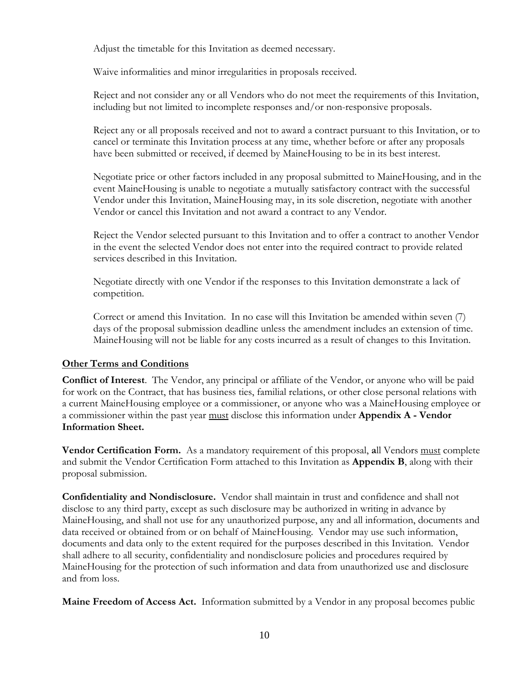Adjust the timetable for this Invitation as deemed necessary.

Waive informalities and minor irregularities in proposals received.

Reject and not consider any or all Vendors who do not meet the requirements of this Invitation, including but not limited to incomplete responses and/or non-responsive proposals.

Reject any or all proposals received and not to award a contract pursuant to this Invitation, or to cancel or terminate this Invitation process at any time, whether before or after any proposals have been submitted or received, if deemed by MaineHousing to be in its best interest.

Negotiate price or other factors included in any proposal submitted to MaineHousing, and in the event MaineHousing is unable to negotiate a mutually satisfactory contract with the successful Vendor under this Invitation, MaineHousing may, in its sole discretion, negotiate with another Vendor or cancel this Invitation and not award a contract to any Vendor.

Reject the Vendor selected pursuant to this Invitation and to offer a contract to another Vendor in the event the selected Vendor does not enter into the required contract to provide related services described in this Invitation.

Negotiate directly with one Vendor if the responses to this Invitation demonstrate a lack of competition.

Correct or amend this Invitation. In no case will this Invitation be amended within seven (7) days of the proposal submission deadline unless the amendment includes an extension of time. MaineHousing will not be liable for any costs incurred as a result of changes to this Invitation.

#### **Other Terms and Conditions**

**Conflict of Interest**. The Vendor, any principal or affiliate of the Vendor, or anyone who will be paid for work on the Contract, that has business ties, familial relations, or other close personal relations with a current MaineHousing employee or a commissioner, or anyone who was a MaineHousing employee or a commissioner within the past year must disclose this information under **Appendix A - Vendor Information Sheet.**

**Vendor Certification Form.** As a mandatory requirement of this proposal, **a**ll Vendors must complete and submit the Vendor Certification Form attached to this Invitation as **Appendix B**, along with their proposal submission.

**Confidentiality and Nondisclosure.** Vendor shall maintain in trust and confidence and shall not disclose to any third party, except as such disclosure may be authorized in writing in advance by MaineHousing, and shall not use for any unauthorized purpose, any and all information, documents and data received or obtained from or on behalf of MaineHousing. Vendor may use such information, documents and data only to the extent required for the purposes described in this Invitation. Vendor shall adhere to all security, confidentiality and nondisclosure policies and procedures required by MaineHousing for the protection of such information and data from unauthorized use and disclosure and from loss.

**Maine Freedom of Access Act.** Information submitted by a Vendor in any proposal becomes public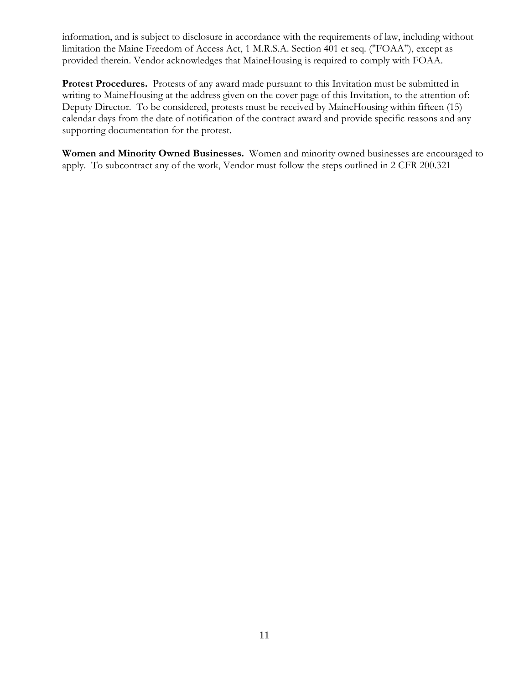information, and is subject to disclosure in accordance with the requirements of law, including without limitation the Maine Freedom of Access Act, 1 M.R.S.A. Section 401 et seq. ("FOAA"), except as provided therein. Vendor acknowledges that MaineHousing is required to comply with FOAA.

**Protest Procedures.** Protests of any award made pursuant to this Invitation must be submitted in writing to MaineHousing at the address given on the cover page of this Invitation, to the attention of: Deputy Director. To be considered, protests must be received by MaineHousing within fifteen (15) calendar days from the date of notification of the contract award and provide specific reasons and any supporting documentation for the protest.

**Women and Minority Owned Businesses.** Women and minority owned businesses are encouraged to apply. To subcontract any of the work, Vendor must follow the steps outlined in 2 CFR 200.321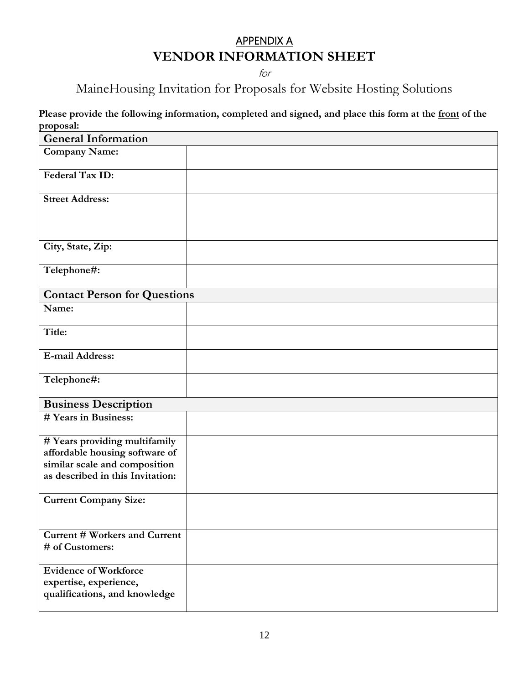## APPENDIX A **VENDOR INFORMATION SHEET**

for

MaineHousing Invitation for Proposals for Website Hosting Solutions

 **Please provide the following information, completed and signed, and place this form at the front of the proposal:**

| <b>General Information</b>                                                                                                           |  |
|--------------------------------------------------------------------------------------------------------------------------------------|--|
| <b>Company Name:</b>                                                                                                                 |  |
| Federal Tax ID:                                                                                                                      |  |
| <b>Street Address:</b>                                                                                                               |  |
| City, State, Zip:                                                                                                                    |  |
| Telephone#:                                                                                                                          |  |
| <b>Contact Person for Questions</b>                                                                                                  |  |
| Name:                                                                                                                                |  |
| Title:                                                                                                                               |  |
| E-mail Address:                                                                                                                      |  |
| Telephone#:                                                                                                                          |  |
| <b>Business Description</b>                                                                                                          |  |
| # Years in Business:                                                                                                                 |  |
| # Years providing multifamily<br>affordable housing software of<br>similar scale and composition<br>as described in this Invitation: |  |
| <b>Current Company Size:</b>                                                                                                         |  |
| <b>Current # Workers and Current</b><br># of Customers:                                                                              |  |
| <b>Evidence of Workforce</b><br>expertise, experience,<br>qualifications, and knowledge                                              |  |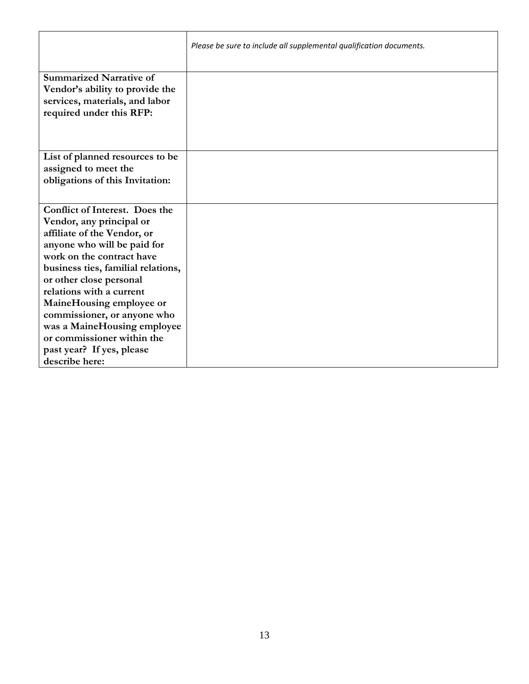|                                                                                                                                                                                                                                                                                                                      | Please be sure to include all supplemental qualification documents. |
|----------------------------------------------------------------------------------------------------------------------------------------------------------------------------------------------------------------------------------------------------------------------------------------------------------------------|---------------------------------------------------------------------|
| <b>Summarized Narrative of</b><br>Vendor's ability to provide the<br>services, materials, and labor<br>required under this RFP:                                                                                                                                                                                      |                                                                     |
|                                                                                                                                                                                                                                                                                                                      |                                                                     |
| List of planned resources to be<br>assigned to meet the<br>obligations of this Invitation:                                                                                                                                                                                                                           |                                                                     |
| <b>Conflict of Interest. Does the</b><br>Vendor, any principal or<br>affiliate of the Vendor, or<br>anyone who will be paid for<br>work on the contract have<br>business ties, familial relations,<br>or other close personal<br>relations with a current<br>MaineHousing employee or<br>commissioner, or anyone who |                                                                     |
| was a MaineHousing employee<br>or commissioner within the<br>past year? If yes, please<br>describe here:                                                                                                                                                                                                             |                                                                     |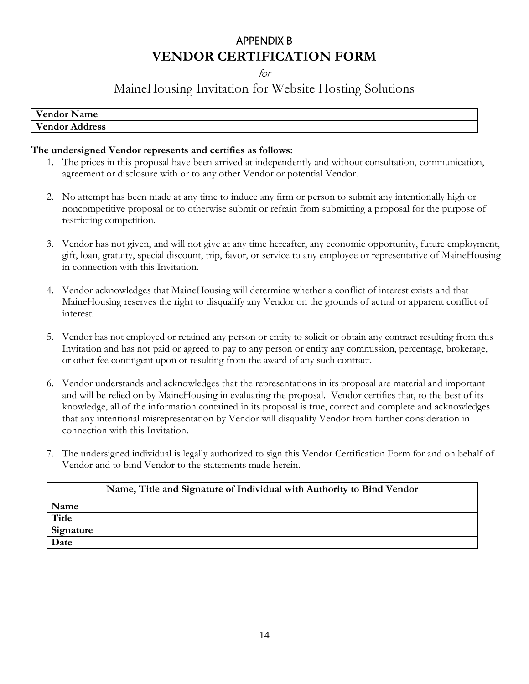## APPENDIX B **VENDOR CERTIFICATION FORM**

for

### MaineHousing Invitation for Website Hosting Solutions

| <b>Vendor Name</b>    |  |
|-----------------------|--|
| <b>Vendor Address</b> |  |

#### **The undersigned Vendor represents and certifies as follows:**

- 1. The prices in this proposal have been arrived at independently and without consultation, communication, agreement or disclosure with or to any other Vendor or potential Vendor.
- 2. No attempt has been made at any time to induce any firm or person to submit any intentionally high or noncompetitive proposal or to otherwise submit or refrain from submitting a proposal for the purpose of restricting competition.
- 3. Vendor has not given, and will not give at any time hereafter, any economic opportunity, future employment, gift, loan, gratuity, special discount, trip, favor, or service to any employee or representative of MaineHousing in connection with this Invitation.
- 4. Vendor acknowledges that MaineHousing will determine whether a conflict of interest exists and that MaineHousing reserves the right to disqualify any Vendor on the grounds of actual or apparent conflict of interest.
- 5. Vendor has not employed or retained any person or entity to solicit or obtain any contract resulting from this Invitation and has not paid or agreed to pay to any person or entity any commission, percentage, brokerage, or other fee contingent upon or resulting from the award of any such contract.
- 6. Vendor understands and acknowledges that the representations in its proposal are material and important and will be relied on by MaineHousing in evaluating the proposal. Vendor certifies that, to the best of its knowledge, all of the information contained in its proposal is true, correct and complete and acknowledges that any intentional misrepresentation by Vendor will disqualify Vendor from further consideration in connection with this Invitation.
- 7. The undersigned individual is legally authorized to sign this Vendor Certification Form for and on behalf of Vendor and to bind Vendor to the statements made herein.

|              | Name, Title and Signature of Individual with Authority to Bind Vendor |
|--------------|-----------------------------------------------------------------------|
| Name         |                                                                       |
| <b>Title</b> |                                                                       |
| Signature    |                                                                       |
| Date         |                                                                       |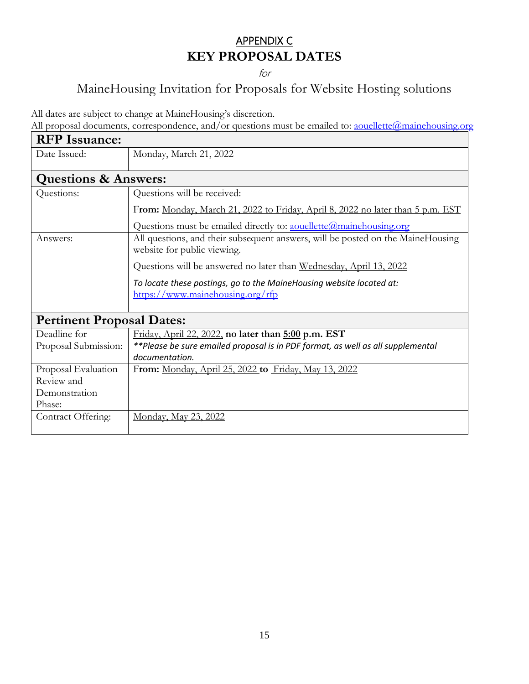## APPENDIX C **KEY PROPOSAL DATES**

for

# MaineHousing Invitation for Proposals for Website Hosting solutions

All dates are subject to change at MaineHousing's discretion.

All proposal documents, correspondence, and/or questions must be emailed to: <u>aouellette@mainehousing.org</u>

| <b>RFP</b> Issuance:             |                                                                                                                |  |
|----------------------------------|----------------------------------------------------------------------------------------------------------------|--|
| Date Issued:                     | Monday, March 21, 2022                                                                                         |  |
| <b>Questions &amp; Answers:</b>  |                                                                                                                |  |
| Questions:                       | Questions will be received:                                                                                    |  |
|                                  | From: Monday, March 21, 2022 to Friday, April 8, 2022 no later than 5 p.m. EST                                 |  |
|                                  | Questions must be emailed directly to: <u>aouellette@mainehousing.org</u>                                      |  |
| Answers:                         | All questions, and their subsequent answers, will be posted on the MaineHousing<br>website for public viewing. |  |
|                                  | Questions will be answered no later than Wednesday, April 13, 2022                                             |  |
|                                  | To locate these postings, go to the MaineHousing website located at:<br>https://www.mainehousing.org/rfp       |  |
| <b>Pertinent Proposal Dates:</b> |                                                                                                                |  |
| Deadline for                     | Friday, April 22, 2022, no later than 5:00 p.m. EST                                                            |  |
| Proposal Submission:             | **Please be sure emailed proposal is in PDF format, as well as all supplemental<br>documentation.              |  |
| Proposal Evaluation              | From: Monday, April 25, 2022 to Friday, May 13, 2022                                                           |  |
| Review and                       |                                                                                                                |  |
| Demonstration                    |                                                                                                                |  |
| Phase:                           |                                                                                                                |  |
| Contract Offering:               | Monday, May 23, 2022                                                                                           |  |